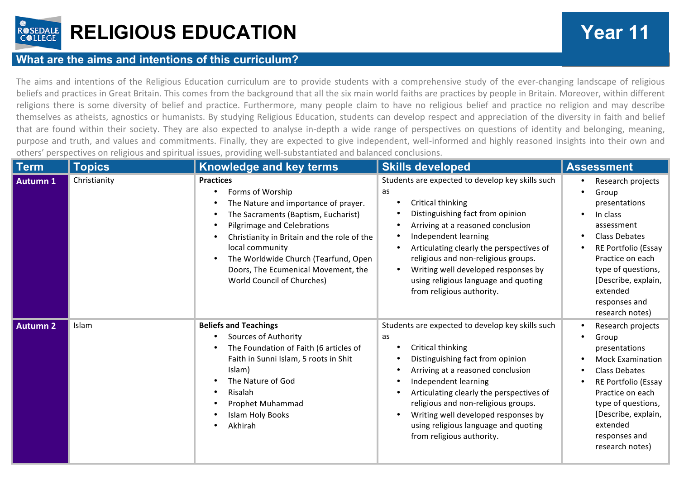

## **RELIGIOUS EDUCATION Year 11**

## **What are the aims and intentions of this curriculum?**

The aims and intentions of the Religious Education curriculum are to provide students with a comprehensive study of the ever-changing landscape of religious beliefs and practices in Great Britain. This comes from the background that all the six main world faiths are practices by people in Britain. Moreover, within different religions there is some diversity of belief and practice. Furthermore, many people claim to have no religious belief and practice no religion and may describe themselves as atheists, agnostics or humanists. By studying Religious Education, students can develop respect and appreciation of the diversity in faith and belief that are found within their society. They are also expected to analyse in-depth a wide range of perspectives on questions of identity and belonging, meaning, purpose and truth, and values and commitments. Finally, they are expected to give independent, well-informed and highly reasoned insights into their own and others' perspectives on religious and spiritual issues, providing well-substantiated and balanced conclusions.

| <b>Term</b>     | <b>Topics</b> | Knowledge and key terms                                                                                                                                                                                                                                                                                                                               | <b>Skills developed</b>                                                                                                                                                                                                                                                                                                                                                     | <b>Assessment</b>                                                                                                                                                                                                                      |
|-----------------|---------------|-------------------------------------------------------------------------------------------------------------------------------------------------------------------------------------------------------------------------------------------------------------------------------------------------------------------------------------------------------|-----------------------------------------------------------------------------------------------------------------------------------------------------------------------------------------------------------------------------------------------------------------------------------------------------------------------------------------------------------------------------|----------------------------------------------------------------------------------------------------------------------------------------------------------------------------------------------------------------------------------------|
| <b>Autumn 1</b> | Christianity  | <b>Practices</b><br>Forms of Worship<br>$\bullet$<br>The Nature and importance of prayer.<br>The Sacraments (Baptism, Eucharist)<br>Pilgrimage and Celebrations<br>Christianity in Britain and the role of the<br>local community<br>The Worldwide Church (Tearfund, Open<br>Doors, The Ecumenical Movement, the<br><b>World Council of Churches)</b> | Students are expected to develop key skills such<br>as<br>Critical thinking<br>Distinguishing fact from opinion<br>Arriving at a reasoned conclusion<br>Independent learning<br>Articulating clearly the perspectives of<br>religious and non-religious groups.<br>Writing well developed responses by<br>using religious language and quoting<br>from religious authority. | Research projects<br>Group<br>presentations<br>In class<br>assessment<br><b>Class Debates</b><br>RE Portfolio (Essay<br>Practice on each<br>type of questions,<br>[Describe, explain,<br>extended<br>responses and<br>research notes)  |
| <b>Autumn 2</b> | Islam         | <b>Beliefs and Teachings</b><br>Sources of Authority<br>The Foundation of Faith (6 articles of<br>Faith in Sunni Islam, 5 roots in Shit<br>Islam)<br>The Nature of God<br>Risalah<br>Prophet Muhammad<br><b>Islam Holy Books</b><br>Akhirah                                                                                                           | Students are expected to develop key skills such<br>as<br>Critical thinking<br>Distinguishing fact from opinion<br>Arriving at a reasoned conclusion<br>Independent learning<br>Articulating clearly the perspectives of<br>religious and non-religious groups.<br>Writing well developed responses by<br>using religious language and quoting<br>from religious authority. | Research projects<br>Group<br>presentations<br><b>Mock Examination</b><br><b>Class Debates</b><br>RE Portfolio (Essay<br>Practice on each<br>type of questions,<br>[Describe, explain,<br>extended<br>responses and<br>research notes) |